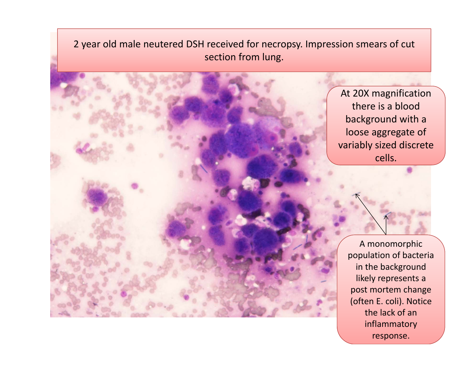2 year old male neutered DSH received for necropsy. Impression smears of cut section from lung.

> At 20X magnification there is <sup>a</sup> bloodbackground with <sup>a</sup> loose aggregate of variably sized discrete cells.

> > A monomorphic population of bacteria in the background likely represents <sup>a</sup> post mortem change (often E. coli). Notice the lack of aninflammatory response.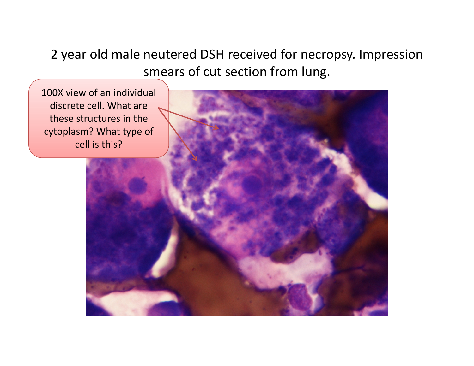2 year old male neutered DSH received for necropsy. Impression smears of cut section from lung.

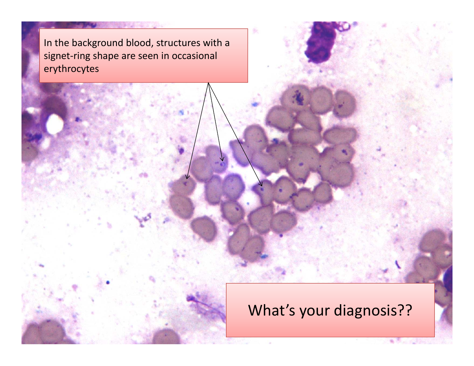In the background blood, structures with <sup>a</sup> signet-ring shape are seen in occasional erythrocytes

#### What's your diagnosis??

雀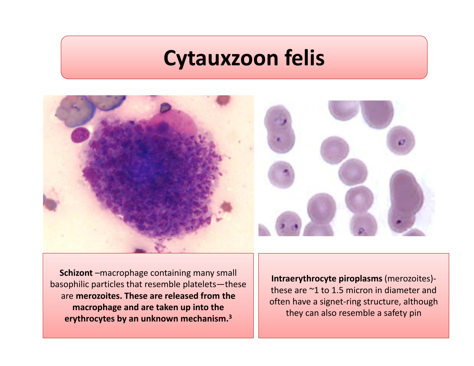### **Cytauxzoon felis**



**Schizont** –macrophage containing many small basophilic particles that resemble platelets—these are **merozoites. These are released from the macrophage and are taken up into the erythrocytes by an unknown mechanism. 3**

**Intraerythrocyte piroplasms** (merozoites)‐ these are ~1 to 1.5 micron in diameter and often have a signet‐ring structure, although they can also resemble a safety pin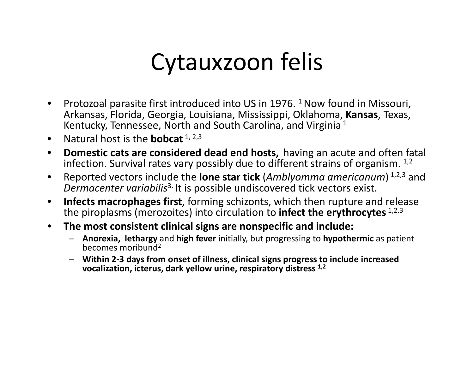## Cytauxzoon felis

- •Protozoal parasite first introduced into US in 1976. <sup>1</sup> Now found in Missouri, Arkansas, Florida, Georgia, Louisiana, Mississippi, Oklahoma, **Kansas**, Texas, Kentucky, Tennessee, North and South Carolina, and Virginia<sup>1</sup>
- $\bullet$ **•** Natural host is the **bobcat** 1, 2,3
- $\bullet$  **Domestic cats are considered dead end hosts,** having an acute and often fatal infection. Survival rates vary possibly due to different strains of organism.  $^{\rm 1,2}$
- • Reported vectors include the **lone star tick** (*Amblyomma americanum*) 1,2,3 and *Dermacenter variabilis*3. It is possible undiscovered tick vectors exist.
- $\bullet$  **Infects macrophages first**, forming schizonts, which then rupture and release the piroplasms (merozoites) into circulation to **infect the erythrocytes** 1,2,3
- $\bullet$  **The most consistent clinical signs are nonspecific and include:**
	- **Anorexia, lethargy** and **high fever** initially, but progressing to **hypothermic** as patient becomes moribund<sup>2</sup>
	- **Within 2‐3 days from onset of illness, clinical signs progress to include increased vocalization, icterus, dark yellow urine, respiratory distress 1,2**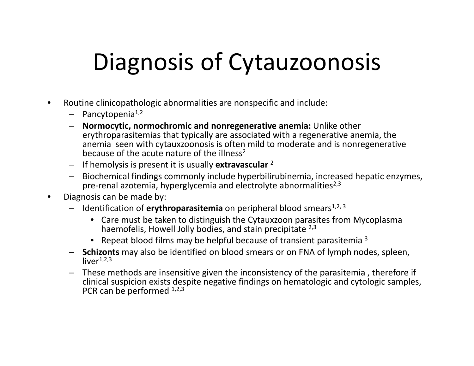# Diagnosis of Cytauzoonosis

- $\bullet$  Routine clinicopathologic abnormalities are nonspecific and include:
	- Pancytopenia<sup>1,2</sup>
	- **Normocytic, normochromic and nonregenerative anemia:** Unlike other erythroparasitemias that typically are associated with <sup>a</sup> regenerative anemia, the anemia seen with cytauxzoonosis is often mild to moderate and is nonregenerative because of the acute nature of the illness<sup>2</sup>
	- If hemolysis is present it is usually **extravascular** <sup>2</sup>
	- Biochemical findings commonly include hyperbilirubinemia, increased hepatic enzymes, pre-renal azotemia, hyperglycemia and electrolyte abnormalities $^{2,3}$
- • Diagnosis can be made by:
	- Identification of **erythroparasitemia** on peripheral blood smears1,2, <sup>3</sup>
		- Care must be taken to distinguish the Cytauxzoon parasites from Mycoplasma haemofelis, Howell Jolly bodies, and stain precipitate <sup>2,3</sup>
		- Repeat blood films may be helpful because of transient parasitemia  $3$
	- **Schizonts** may also be identified on blood smears or on FNA of lymph nodes, spleen, live $r^{1,2,3}$
	- These methods are insensitive given the inconsistency of the parasitemia , therefore if clinical suspicion exists despite negative findings on hematologic and cytologic samples, PCR can be performed  $^{1,2,3}$